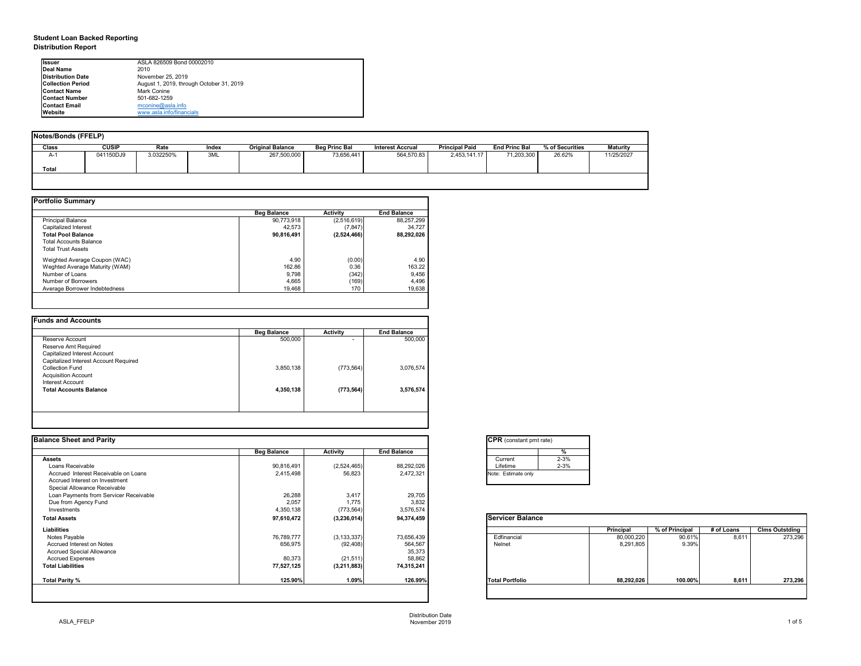# **Student Loan Backed Reporting Distribution Report**

| Notes/Bonds (FFELP) |              |           |       |                         |                      |                         |                       |                      |                 |            |
|---------------------|--------------|-----------|-------|-------------------------|----------------------|-------------------------|-----------------------|----------------------|-----------------|------------|
| <b>Class</b>        | <b>CUSIP</b> | Rate      | Index | <b>Original Balance</b> | <b>Beg Princ Bal</b> | <b>Interest Accrual</b> | <b>Principal Paid</b> | <b>End Princ Bal</b> | % of Securities | Maturity   |
| A-1                 | 041150DJ9    | 3.032250% | 3ML   | 267,500,000             | 73,656,441           | 564,570.83              | 2,453,141.17          | 71,203,300           | 26.62%          | 11/25/2027 |
| <b>Total</b>        |              |           |       |                         |                      |                         |                       |                      |                 |            |
|                     |              |           |       |                         |                      |                         |                       |                      |                 |            |

|                                | <b>Beg Balance</b> | <b>Activity</b> | <b>End Balance</b> |
|--------------------------------|--------------------|-----------------|--------------------|
| <b>Principal Balance</b>       | 90,773,918         | (2,516,619)     | 88,257,299         |
| Capitalized Interest           | 42,573             | (7, 847)        | 34,727             |
| <b>Total Pool Balance</b>      | 90,816,491         | (2,524,466)     | 88,292,026         |
| <b>Total Accounts Balance</b>  |                    |                 |                    |
| <b>Total Trust Assets</b>      |                    |                 |                    |
| Weighted Average Coupon (WAC)  | 4.90               | (0.00)          | 4.90               |
| Weghted Average Maturity (WAM) | 162.86             | 0.36            | 163.22             |
| Number of Loans                | 9,798              | (342)           | 9,456              |
| Number of Borrowers            | 4,665              | (169)           | 4,496              |
| Average Borrower Indebtedness  | 19,468             | 170             | 19,638             |

| 500,000   | $\overline{\phantom{0}}$ | 500,000   |
|-----------|--------------------------|-----------|
|           |                          |           |
|           |                          |           |
|           |                          |           |
|           |                          |           |
| 3,850,138 | (773, 564)               | 3,076,574 |
|           |                          |           |
|           |                          |           |
| 4,350,138 | (773, 564)               | 3,576,574 |
|           |                          |           |
|           |                          |           |

| tant pmt rate) |          |
|----------------|----------|
|                | %        |
|                | $2 - 3%$ |
|                | $2 - 3%$ |
| te only        |          |
|                |          |

|     | Principal  | % of Principal | # of Loans | <b>Clms Outstding</b> |
|-----|------------|----------------|------------|-----------------------|
|     | 80,000,220 | 90.61%         | 8,611      | 273,296               |
|     | 8,291,805  | 9.39%          |            |                       |
|     |            |                |            |                       |
|     |            |                |            |                       |
|     |            |                |            |                       |
| lio | 88,292,026 | 100.00%        | 8,611      | 273,296               |

| <b>Ilssuer</b>            | ASLA 826509 Bond 00002010                |
|---------------------------|------------------------------------------|
| <b>IDeal Name</b>         | 2010                                     |
| <b>Distribution Date</b>  | November 25, 2019                        |
| <b>ICollection Period</b> | August 1, 2019, through October 31, 2019 |
| <b>IContact Name</b>      | Mark Conine                              |
| <b>IContact Number</b>    | 501-682-1259                             |
| <b>IContact Email</b>     | $m$ conine@asla.info                     |
| <b>IWebsite</b>           | www.asla.info/financials                 |

| <b>Balance Sheet and Parity</b>        |                    |                 |                    | <b>CPR</b> (constant pmt rate) |                  |                |            |                       |
|----------------------------------------|--------------------|-----------------|--------------------|--------------------------------|------------------|----------------|------------|-----------------------|
|                                        | <b>Beg Balance</b> | <b>Activity</b> | <b>End Balance</b> | %                              |                  |                |            |                       |
| Assets                                 |                    |                 |                    | $2 - 3%$<br>Current            |                  |                |            |                       |
| Loans Receivable                       | 90,816,491         | (2,524,465)     | 88,292,026         | $2 - 3%$<br>Lifetime           |                  |                |            |                       |
| Accrued Interest Receivable on Loans   | 2,415,498          | 56,823          | 2,472,321          | Note: Estimate only            |                  |                |            |                       |
| Accrued Interest on Investment         |                    |                 |                    |                                |                  |                |            |                       |
| Special Allowance Receivable           |                    |                 |                    |                                |                  |                |            |                       |
| Loan Payments from Servicer Receivable | 26,288             | 3,417           | 29,705             |                                |                  |                |            |                       |
| Due from Agency Fund                   | 2,057              | 1,775           | 3,832              |                                |                  |                |            |                       |
| Investments                            | 4,350,138          | (773, 564)      | 3,576,574          |                                |                  |                |            |                       |
| <b>Total Assets</b>                    | 97,610,472         | (3, 236, 014)   | 94,374,459         | <b>Servicer Balance</b>        |                  |                |            |                       |
| <b>Liabilities</b>                     |                    |                 |                    |                                | <b>Principal</b> | % of Principal | # of Loans | <b>Clms Outstding</b> |
| Notes Payable                          | 76,789,777         | (3, 133, 337)   | 73,656,439         | Edfinancial                    | 80,000,220       | 90.61%         | 8,611      | 273,296               |
| Accrued Interest on Notes              | 656,975            | (92, 408)       | 564,567            | Nelnet                         | 8,291,805        | 9.39%          |            |                       |
| <b>Accrued Special Allowance</b>       |                    |                 | 35,373             |                                |                  |                |            |                       |
| <b>Accrued Expenses</b>                | 80,373             | (21, 511)       | 58,862             |                                |                  |                |            |                       |
| <b>Total Liabilities</b>               | 77,527,125         | (3,211,883)     | 74,315,241         |                                |                  |                |            |                       |
| Total Parity %                         | 125.90%            | 1.09%           | 126.99%            | <b>Total Portfolio</b>         | 88,292,026       | 100.00%        | 8,611      | 273,296               |

| CPR (cons   |
|-------------|
|             |
| Current     |
| Lifetime    |
| Note: Estim |
|             |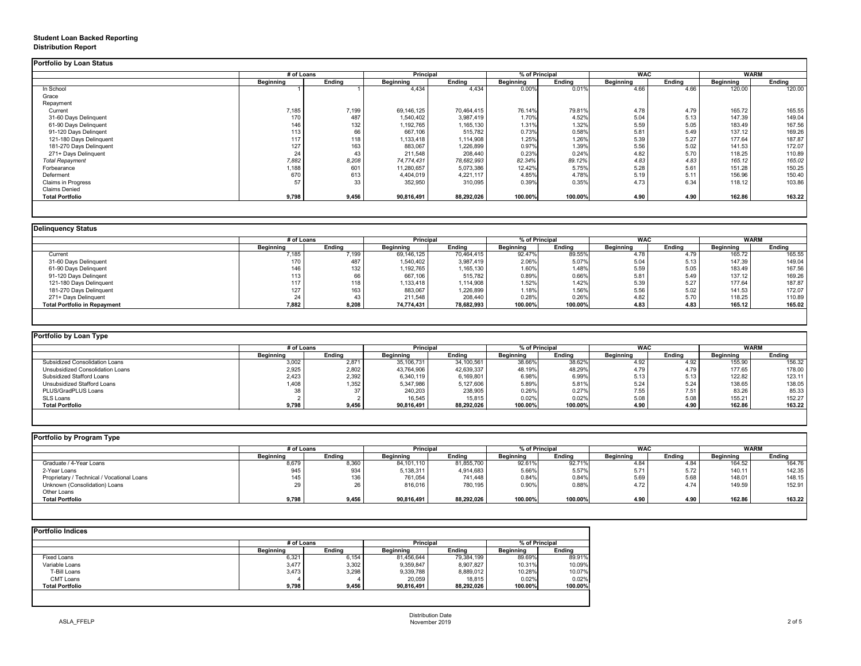# **Student Loan Backed Reporting Distribution Report**

|                           | # of Loans       |               |                  | <b>Principal</b> |                  | % of Principal |                  | <b>WAC</b>    |                  | <b>WARM</b>   |  |
|---------------------------|------------------|---------------|------------------|------------------|------------------|----------------|------------------|---------------|------------------|---------------|--|
|                           | <b>Beginning</b> | <b>Ending</b> | <b>Beginning</b> | <b>Ending</b>    | <b>Beginning</b> | <b>Ending</b>  | <b>Beginning</b> | <b>Ending</b> | <b>Beginning</b> | <b>Ending</b> |  |
| In School                 |                  |               | 4,434            | 4,434            | 0.00%            | 0.01%          | 4.66             | 4.66          | 120.00           | 120.00        |  |
| Grace                     |                  |               |                  |                  |                  |                |                  |               |                  |               |  |
| Repayment                 |                  |               |                  |                  |                  |                |                  |               |                  |               |  |
| Current                   | 7,185            | 7,199         | 69,146,125       | 70,464,415       | 76.14%           | 79.81%         | 4.78             | 4.79          | 165.72           | 165.55        |  |
| 31-60 Days Delinquent     | 170              | 487           | 1,540,402        | 3,987,419        | 1.70%            | 4.52%          | 5.04             | 5.13          | 147.39           | 149.04        |  |
| 61-90 Days Delinquent     | 146              | 132           | 1,192,765        | 1,165,130        | 1.31%            | 1.32%          | 5.59             | 5.05          | 183.49           | 167.56        |  |
| 91-120 Days Delingent     | 113              | 66            | 667,106          | 515,782          | 0.73%            | 0.58%          | 5.81             | 5.49          | 137.12           | 169.26        |  |
| 121-180 Days Delinquent   | 117              | 118           | 1,133,418        | 1,114,908        | 1.25%            | 1.26%          | 5.39             | 5.27          | 177.64           | 187.87        |  |
| 181-270 Days Delinquent   | 127              | 163           | 883,067          | 1,226,899        | 0.97%            | 1.39%          | 5.56             | 5.02          | 141.53           | 172.07        |  |
| 271+ Days Delinquent      | 24               | 43            | 211,548          | 208,440          | 0.23%            | 0.24%          | 4.82             | 5.70          | 118.25           | 110.89        |  |
| <b>Total Repayment</b>    | 7,882            | 8,208         | 74,774,431       | 78,682,993       | 82.34%           | 89.12%         | 4.83             | 4.83          | 165.12           | 165.02        |  |
| Forbearance               | 1,188            | 601           | 11,280,657       | 5,073,386        | 12.42%           | 5.75%          | 5.28             | 5.61          | 151.28           | 150.25        |  |
| Deferment                 | 670              | 613           | 4,404,019        | 4,221,117        | 4.85%            | 4.78%          | 5.19             | 5.11          | 156.96           | 150.40        |  |
| <b>Claims in Progress</b> | 57               | 33            | 352,950          | 310,095          | 0.39%            | 0.35%          | 4.73             | 6.34          | 118.12           | 103.86        |  |
| <b>Claims Denied</b>      |                  |               |                  |                  |                  |                |                  |               |                  |               |  |
| <b>Total Portfolio</b>    | 9,798            | 9,456         | 90,816,491       | 88,292,026       | 100.00%          | 100.00%        | 4.90             | 4.90          | 162.86           | 163.22        |  |

|                                     |                  | # of Loans    |                  | <b>Principal</b> |                  | % of Principal |                  | <b>WAC</b>    |                  | <b>WARM</b>   |  |
|-------------------------------------|------------------|---------------|------------------|------------------|------------------|----------------|------------------|---------------|------------------|---------------|--|
|                                     | <b>Beginning</b> | <b>Ending</b> | <b>Beginning</b> | <b>Ending</b>    | <b>Beginning</b> | Ending         | <b>Beginning</b> | <b>Ending</b> | <b>Beginning</b> | <b>Ending</b> |  |
| Current                             | 7,185            | 7,199         | 69,146,125       | 70,464,415       | 92.47%           | 89.55%         | 4.78             | 4.79          | 165.72           | 165.55        |  |
| 31-60 Days Delinquent               | 170              | 487           | 1,540,402        | 3,987,419        | 2.06%            | 5.07%          | 5.04             | 5.13          | 147.39           | 149.04        |  |
| 61-90 Days Delinquent               | 146              | 132           | 1,192,765        | 1,165,130        | 1.60%            | 1.48%          | 5.59             | 5.05          | 183.49           | 167.56        |  |
| 91-120 Days Delinqent               | 113              | 66            | 667,106          | 515,782          | 0.89%            | 0.66%          | 5.81             | 5.49          | 137.12           | 169.26        |  |
| 121-180 Days Delinquent             | 117              | 118           | 1,133,418        | 1,114,908        | 1.52%            | 1.42%          | 5.39             | 5.27          | 177.64           | 187.87        |  |
| 181-270 Days Delinquent             | 127              | 163           | 883,067          | 1,226,899        | 1.18%            | 1.56%          | 5.56             | 5.02          | 141.53           | 172.07        |  |
| 271+ Days Delinquent                |                  | 43            | 211,548          | 208,440          | 0.28%            | 0.26%          | 4.82             | 5.70          | 118.25           | 110.89        |  |
| <b>Total Portfolio in Repayment</b> | 7,882            | 8,208         | 74,774,431       | 78,682,993       | 100.00%          | 100.00%        | 4.83             | 4.83          | 165.12           | 165.02        |  |

| Portfolio by Loan Type                |                  |               |                  |                  |                  |                |                  |               |                  |        |  |
|---------------------------------------|------------------|---------------|------------------|------------------|------------------|----------------|------------------|---------------|------------------|--------|--|
|                                       |                  | # of Loans    |                  | <b>Principal</b> |                  | % of Principal |                  | <b>WAC</b>    |                  | WARM   |  |
|                                       | <b>Beginning</b> | <b>Ending</b> | <b>Beginning</b> | <b>Ending</b>    | <b>Beginning</b> | <b>Ending</b>  | <b>Beginning</b> | <b>Ending</b> | <b>Beginning</b> | Ending |  |
| <b>Subsidized Consolidation Loans</b> | 3,002            | 2,871         | 35,106,731       | 34,100,561       | 38.66%           | 38.62%         | 4.92             | 4.92          | 155.90           | 156.32 |  |
| Unsubsidized Consolidation Loans      | 2,925            | 2,802         | 43,764,906       | 42,639,337       | 48.19%           | 48.29%         | 4.79             | 4.79          | 177.65           | 178.00 |  |
| <b>Subsidized Stafford Loans</b>      | 2,423            | 2,392         | 6,340,119        | 6,169,801        | 6.98%            | 6.99%          | 5.13             | 5.13          | 122.82           | 123.11 |  |
| <b>Unsubsidized Stafford Loans</b>    | ,408             | 1,352         | 5,347,986        | 5,127,606        | 5.89%            | 5.81%          | 5.24             | 5.24          | 138.65           | 138.05 |  |
| PLUS/GradPLUS Loans                   |                  | っっ            | 240,203          | 238,905          | 0.26%            | 0.27%          | 7.55             | 7.51          | 83.26            | 85.33  |  |
| SLS Loans                             |                  |               | 16,545           | 15,815           | 0.02%            | 0.02%          | 5.08             | 5.08          | 155.21           | 152.27 |  |
| <b>Total Portfolio</b>                | 9,798            | 9,456         | 90,816,491       | 88,292,026       | 100.00%          | 100.00%        | 4.90             | 4.90          | 162.86           | 163.22 |  |

|                                            |                  | # of Loans    |                  | <b>Principal</b> |                  | % of Principal |                  | <b>WAC</b>    |                  | <b>WARM</b>   |  |
|--------------------------------------------|------------------|---------------|------------------|------------------|------------------|----------------|------------------|---------------|------------------|---------------|--|
|                                            | <b>Beginning</b> | <b>Ending</b> | <b>Beginning</b> | <b>Ending</b>    | <b>Beginning</b> | <b>Ending</b>  | <b>Beginning</b> | <b>Ending</b> | <b>Beginning</b> | <b>Ending</b> |  |
| Graduate / 4-Year Loans                    | 8,679            | 8,360         | 84,101,110       | 81,855,700       | $92.61\%$        | 92.71%         | 4.84             | 4.84          | 164.52           | 164.76        |  |
| 2-Year Loans                               | 945              | 934           | 5,138,311        | 4,914,683        | 5.66%            | 5.57%          | 5.71             | 5.72          | 140.11           | 142.35        |  |
| Proprietary / Technical / Vocational Loans | 145              | 136           | 761,054          | 741,448          | 0.84%            | 0.84%          | 5.69             | 5.68          | 148.01           | 148.15        |  |
| Unknown (Consolidation) Loans              |                  | 26            | 816,016          | 780,195          | 0.90%            | 0.88%          | 4.72             | 4.74          | 149.59           | 152.91        |  |
| Other Loans                                |                  |               |                  |                  |                  |                |                  |               |                  |               |  |
| <b>Total Portfolio</b>                     | 9,798            | 9,456         | 90,816,491       | 88,292,026       | 100.00%          | 100.00%        | 4.90             | 4.90          | 162.86           | 163.22        |  |

|                        |                  | # of Loans    |                  | <b>Principal</b> |                  | % of Principal |  |
|------------------------|------------------|---------------|------------------|------------------|------------------|----------------|--|
|                        | <b>Beginning</b> | <b>Ending</b> | <b>Beginning</b> | <b>Ending</b>    | <b>Beginning</b> | <b>Ending</b>  |  |
| Fixed Loans            | 6,321            | 6,154         | 81,456,644       | 79,384,199       | 89.69%           | 89.91%         |  |
| Variable Loans         | 3,477            | 3,302         | 9,359,847        | 8,907,827        | 10.31%           | 10.09%         |  |
| T-Bill Loans           | 3,473            | 3,298         | 9,339,788        | 8,889,012        | 10.28%           | 10.07%         |  |
| <b>CMT Loans</b>       |                  |               | 20,059           | 18,815           | 0.02%            | 0.02%          |  |
| <b>Total Portfolio</b> | 9,798            | 9,456         | 90,816,491       | 88,292,026       | 100.00%          | 100.00%        |  |
|                        |                  |               |                  |                  |                  |                |  |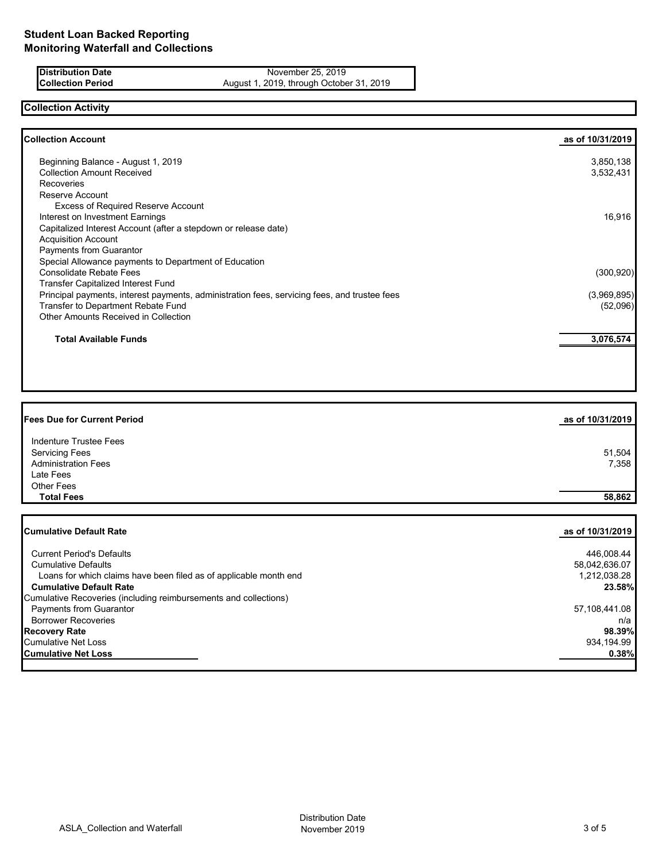**Distribution Date** November 25, 2019<br>**Collection Period** August 1, 2019, through Octobe August 1, 2019, through October 31, 2019

# **Collection Activity**

| <b>Collection Account</b>                                                                    | as of 10/31/2019 |
|----------------------------------------------------------------------------------------------|------------------|
| Beginning Balance - August 1, 2019                                                           | 3,850,138        |
| <b>Collection Amount Received</b>                                                            | 3,532,431        |
| Recoveries                                                                                   |                  |
| Reserve Account                                                                              |                  |
| <b>Excess of Required Reserve Account</b>                                                    |                  |
| Interest on Investment Earnings                                                              | 16,916           |
| Capitalized Interest Account (after a stepdown or release date)                              |                  |
| <b>Acquisition Account</b>                                                                   |                  |
| <b>Payments from Guarantor</b>                                                               |                  |
| Special Allowance payments to Department of Education                                        |                  |
| <b>Consolidate Rebate Fees</b>                                                               | (300, 920)       |
| <b>Transfer Capitalized Interest Fund</b>                                                    |                  |
| Principal payments, interest payments, administration fees, servicing fees, and trustee fees | (3,969,895)      |
| Transfer to Department Rebate Fund                                                           | (52,096)         |
| <b>Other Amounts Received in Collection</b>                                                  |                  |
| <b>Total Available Funds</b>                                                                 | 3,076,574        |
|                                                                                              |                  |

| as of 10/31/2019 |
|------------------|
|                  |
| 51,504           |
| 7,358            |
|                  |
|                  |
| 58,862           |
|                  |

| <b>Cumulative Default Rate</b>                                    | as of 10/31/2019 l |
|-------------------------------------------------------------------|--------------------|
| <b>Current Period's Defaults</b>                                  | 446,008.44         |
| <b>Cumulative Defaults</b>                                        | 58,042,636.07      |
| Loans for which claims have been filed as of applicable month end | 1,212,038.28       |
| <b>Cumulative Default Rate</b>                                    | 23.58%             |
| Cumulative Recoveries (including reimbursements and collections)  |                    |
| <b>Payments from Guarantor</b>                                    | 57,108,441.08      |
| <b>Borrower Recoveries</b>                                        | n/a                |
| <b>Recovery Rate</b>                                              | 98.39%             |
| <b>Cumulative Net Loss</b>                                        | 934,194.99         |
| <b>Cumulative Net Loss</b>                                        | 0.38%              |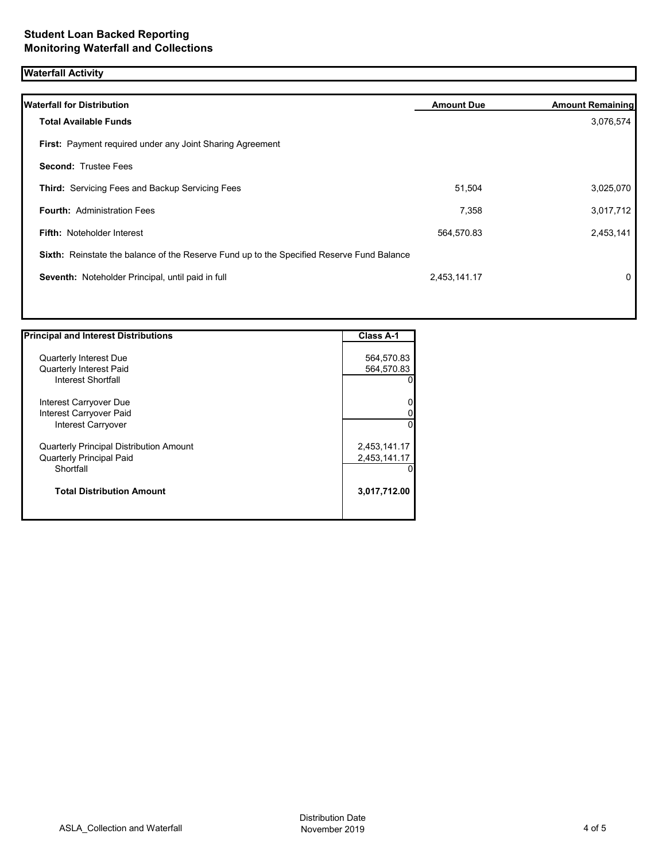# **Waterfall Activity**

| <b>Waterfall for Distribution</b>                                                         | <b>Amount Due</b> | <b>Amount Remaining</b> |
|-------------------------------------------------------------------------------------------|-------------------|-------------------------|
| <b>Total Available Funds</b>                                                              |                   | 3,076,574               |
| First: Payment required under any Joint Sharing Agreement                                 |                   |                         |
| <b>Second: Trustee Fees</b>                                                               |                   |                         |
| <b>Third: Servicing Fees and Backup Servicing Fees</b>                                    | 51,504            | 3,025,070               |
| <b>Fourth: Administration Fees</b>                                                        | 7,358             | 3,017,712               |
| <b>Fifth: Noteholder Interest</b>                                                         | 564,570.83        | 2,453,141               |
| Sixth: Reinstate the balance of the Reserve Fund up to the Specified Reserve Fund Balance |                   |                         |
| Seventh: Noteholder Principal, until paid in full                                         | 2,453,141.17      | $\mathbf 0$             |
|                                                                                           |                   |                         |

| <b>Principal and Interest Distributions</b>    | <b>Class A-1</b> |
|------------------------------------------------|------------------|
|                                                |                  |
| <b>Quarterly Interest Due</b>                  | 564,570.83       |
| <b>Quarterly Interest Paid</b>                 | 564,570.83       |
| Interest Shortfall                             |                  |
| Interest Carryover Due                         | 0                |
| Interest Carryover Paid                        | 0                |
| Interest Carryover                             | $\Omega$         |
| <b>Quarterly Principal Distribution Amount</b> | 2,453,141.17     |
| <b>Quarterly Principal Paid</b>                | 2,453,141.17     |
| Shortfall                                      |                  |
| <b>Total Distribution Amount</b>               | 3,017,712.00     |
|                                                |                  |